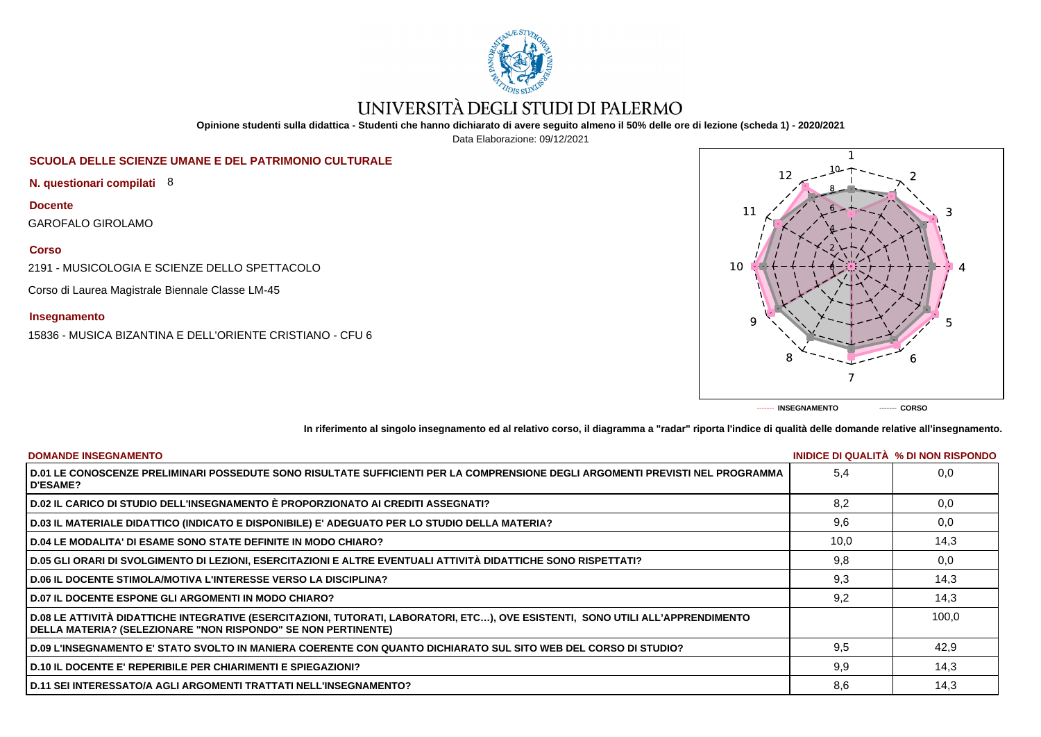

# UNIVERSITÀ DEGLI STUDI DI PALERMO

**Opinione studenti sulla didattica - Studenti che hanno dichiarato di avere seguito almeno il 50% delle ore di lezione (scheda 1) - 2020/2021**

Data Elaborazione: 09/12/2021

## **SCUOLA DELLE SCIENZE UMANE E DEL PATRIMONIO CULTURALE**

**N. questionari compilati** 8

**Docente**

GAROFALO GIROLAMO

**Corso**

2191 - MUSICOLOGIA E SCIENZE DELLO SPETTACOLO

Corso di Laurea Magistrale Biennale Classe LM-45

**Insegnamento**

15836 - MUSICA BIZANTINA E DELL'ORIENTE CRISTIANO - CFU 6



**In riferimento al singolo insegnamento ed al relativo corso, il diagramma a "radar" riporta l'indice di qualità delle domande relative all'insegnamento.**

| <b>DOMANDE INSEGNAMENTO</b>                                                                                                                                                                             |      | INIDICE DI QUALITA % DI NON RISPONDO |
|---------------------------------------------------------------------------------------------------------------------------------------------------------------------------------------------------------|------|--------------------------------------|
| D.01 LE CONOSCENZE PRELIMINARI POSSEDUTE SONO RISULTATE SUFFICIENTI PER LA COMPRENSIONE DEGLI ARGOMENTI PREVISTI NEL PROGRAMMA<br><b>D'ESAME?</b>                                                       | 5.4  | 0.0                                  |
| D.02 IL CARICO DI STUDIO DELL'INSEGNAMENTO È PROPORZIONATO AI CREDITI ASSEGNATI?                                                                                                                        | 8.2  | 0.0                                  |
| D.03 IL MATERIALE DIDATTICO (INDICATO E DISPONIBILE) E' ADEGUATO PER LO STUDIO DELLA MATERIA?                                                                                                           | 9,6  | 0,0                                  |
| <b>D.04 LE MODALITA' DI ESAME SONO STATE DEFINITE IN MODO CHIARO?</b>                                                                                                                                   | 10,0 | 14,3                                 |
| D.05 GLI ORARI DI SVOLGIMENTO DI LEZIONI, ESERCITAZIONI E ALTRE EVENTUALI ATTIVITÀ DIDATTICHE SONO RISPETTATI?                                                                                          | 9,8  | 0,0                                  |
| <b>D.06 IL DOCENTE STIMOLA/MOTIVA L'INTERESSE VERSO LA DISCIPLINA?</b>                                                                                                                                  | 9,3  | 14,3                                 |
| <b>D.07 IL DOCENTE ESPONE GLI ARGOMENTI IN MODO CHIARO?</b>                                                                                                                                             | 9,2  | 14.3                                 |
| D.08 LE ATTIVITÀ DIDATTICHE INTEGRATIVE (ESERCITAZIONI, TUTORATI, LABORATORI, ETC), OVE ESISTENTI, SONO UTILI ALL'APPRENDIMENTO<br><b>DELLA MATERIA? (SELEZIONARE "NON RISPONDO" SE NON PERTINENTE)</b> |      | 100,0                                |
| D.09 L'INSEGNAMENTO E' STATO SVOLTO IN MANIERA COERENTE CON QUANTO DICHIARATO SUL SITO WEB DEL CORSO DI STUDIO?                                                                                         | 9.5  | 42,9                                 |
| <b>D.10 IL DOCENTE E' REPERIBILE PER CHIARIMENTI E SPIEGAZIONI?</b>                                                                                                                                     | 9.9  | 14,3                                 |
| D.11 SEI INTERESSATO/A AGLI ARGOMENTI TRATTATI NELL'INSEGNAMENTO?                                                                                                                                       | 8,6  | 14,3                                 |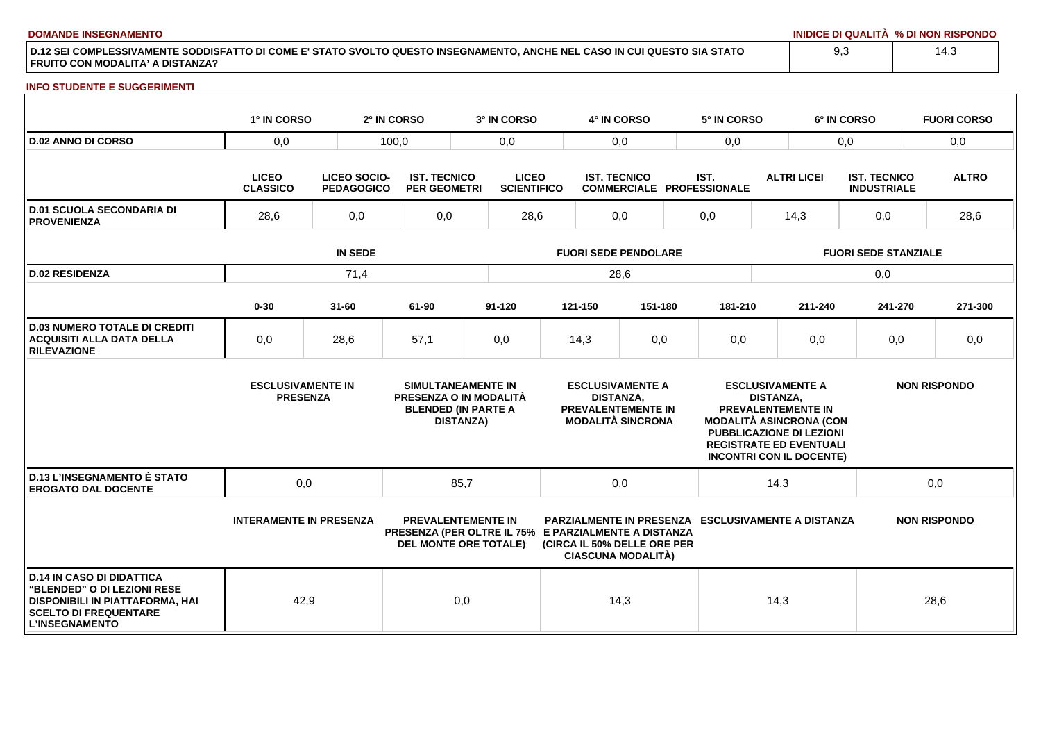**DOMANDE INSEGNAMENTO INIDICE DI QUALITÀ % DI NON RISPONDO**

**D.12 SEI COMPLESSIVAMENTE SODDISFATTO DI COME E' STATO SVOLTO QUESTO INSEGNAMENTO, ANCHE NEL CASO IN CUI QUESTO SIA STATO FRUITO CON MODALITA' A DISTANZA?**

### **INFO STUDENTE E SUGGERIMENTI**

|                                                                                                                                                             | 1° IN CORSO                                 |                                          | 2° IN CORSO                                | 3° IN CORSO                                                                                                       |                                    | 4° IN CORSO                                 |                                                          | 5° IN CORSO |                    |                                                                                                                                                                                                | 6° IN CORSO                               | <b>FUORI CORSO</b>  |  |
|-------------------------------------------------------------------------------------------------------------------------------------------------------------|---------------------------------------------|------------------------------------------|--------------------------------------------|-------------------------------------------------------------------------------------------------------------------|------------------------------------|---------------------------------------------|----------------------------------------------------------|-------------|--------------------|------------------------------------------------------------------------------------------------------------------------------------------------------------------------------------------------|-------------------------------------------|---------------------|--|
| <b>D.02 ANNO DI CORSO</b>                                                                                                                                   | 0,0                                         | 100,0                                    |                                            | 0,0                                                                                                               |                                    | 0,0                                         |                                                          | 0,0         |                    |                                                                                                                                                                                                | 0,0                                       | 0,0                 |  |
|                                                                                                                                                             | <b>LICEO</b><br><b>CLASSICO</b>             | <b>LICEO SOCIO-</b><br><b>PEDAGOGICO</b> | <b>IST. TECNICO</b><br><b>PER GEOMETRI</b> |                                                                                                                   | <b>LICEO</b><br><b>SCIENTIFICO</b> |                                             | <b>IST. TECNICO</b><br><b>COMMERCIALE PROFESSIONALE</b>  |             | <b>ALTRI LICEI</b> |                                                                                                                                                                                                | <b>IST. TECNICO</b><br><b>INDUSTRIALE</b> | <b>ALTRO</b>        |  |
| <b>D.01 SCUOLA SECONDARIA DI</b><br><b>PROVENIENZA</b>                                                                                                      | 28,6<br>0,0                                 |                                          | 0,0                                        |                                                                                                                   | 28,6<br>0,0                        |                                             |                                                          | 0,0         |                    | 14,3                                                                                                                                                                                           | 0,0                                       | 28,6                |  |
|                                                                                                                                                             | <b>IN SEDE</b>                              |                                          |                                            |                                                                                                                   | <b>FUORI SEDE PENDOLARE</b>        |                                             |                                                          |             |                    | <b>FUORI SEDE STANZIALE</b>                                                                                                                                                                    |                                           |                     |  |
| <b>D.02 RESIDENZA</b>                                                                                                                                       |                                             | 71,4                                     |                                            |                                                                                                                   | 28,6                               |                                             |                                                          |             |                    | 0,0                                                                                                                                                                                            |                                           |                     |  |
|                                                                                                                                                             | $0 - 30$                                    | $31 - 60$                                | 61-90                                      | $91 - 120$                                                                                                        |                                    | 121-150                                     | 151-180                                                  |             | 181-210            | 211-240                                                                                                                                                                                        | 241-270                                   | 271-300             |  |
| <b>D.03 NUMERO TOTALE DI CREDITI</b><br><b>ACQUISITI ALLA DATA DELLA</b><br><b>RILEVAZIONE</b>                                                              | 0,0                                         | 28,6                                     | 57,1                                       | 0,0                                                                                                               |                                    | 14,3                                        | 0,0                                                      |             | 0,0                | 0,0                                                                                                                                                                                            | 0,0                                       | 0,0                 |  |
|                                                                                                                                                             | <b>ESCLUSIVAMENTE IN</b><br><b>PRESENZA</b> |                                          |                                            | SIMULTANEAMENTE IN<br>PRESENZA O IN MODALITÀ<br><b>BLENDED (IN PARTE A</b><br><b>DISTANZA)</b>                    |                                    | <b>ESCLUSIVAMENTE A</b><br><b>DISTANZA,</b> | <b>PREVALENTEMENTE IN</b><br><b>MODALITÀ SINCRONA</b>    |             | <b>DISTANZA,</b>   | <b>ESCLUSIVAMENTE A</b><br><b>PREVALENTEMENTE IN</b><br><b>MODALITÀ ASINCRONA (CON</b><br><b>PUBBLICAZIONE DI LEZIONI</b><br><b>REGISTRATE ED EVENTUALI</b><br><b>INCONTRI CON IL DOCENTE)</b> |                                           | <b>NON RISPONDO</b> |  |
| <b>D.13 L'INSEGNAMENTO È STATO</b><br><b>EROGATO DAL DOCENTE</b>                                                                                            | 0,0                                         |                                          |                                            | 85,7                                                                                                              |                                    | 0,0                                         |                                                          |             |                    | 14,3                                                                                                                                                                                           |                                           | 0,0                 |  |
|                                                                                                                                                             | <b>INTERAMENTE IN PRESENZA</b>              |                                          |                                            | <b>PREVALENTEMENTE IN</b><br>PRESENZA (PER OLTRE IL 75% E PARZIALMENTE A DISTANZA<br><b>DEL MONTE ORE TOTALE)</b> |                                    |                                             | (CIRCA IL 50% DELLE ORE PER<br><b>CIASCUNA MODALITÀ)</b> |             |                    | PARZIALMENTE IN PRESENZA ESCLUSIVAMENTE A DISTANZA                                                                                                                                             |                                           | <b>NON RISPONDO</b> |  |
| <b>D.14 IN CASO DI DIDATTICA</b><br>"BLENDED" O DI LEZIONI RESE<br>DISPONIBILI IN PIATTAFORMA, HAI<br><b>SCELTO DI FREQUENTARE</b><br><b>L'INSEGNAMENTO</b> | 42,9                                        |                                          |                                            | 0,0                                                                                                               |                                    | 14,3                                        |                                                          |             |                    | 14,3                                                                                                                                                                                           |                                           | 28,6                |  |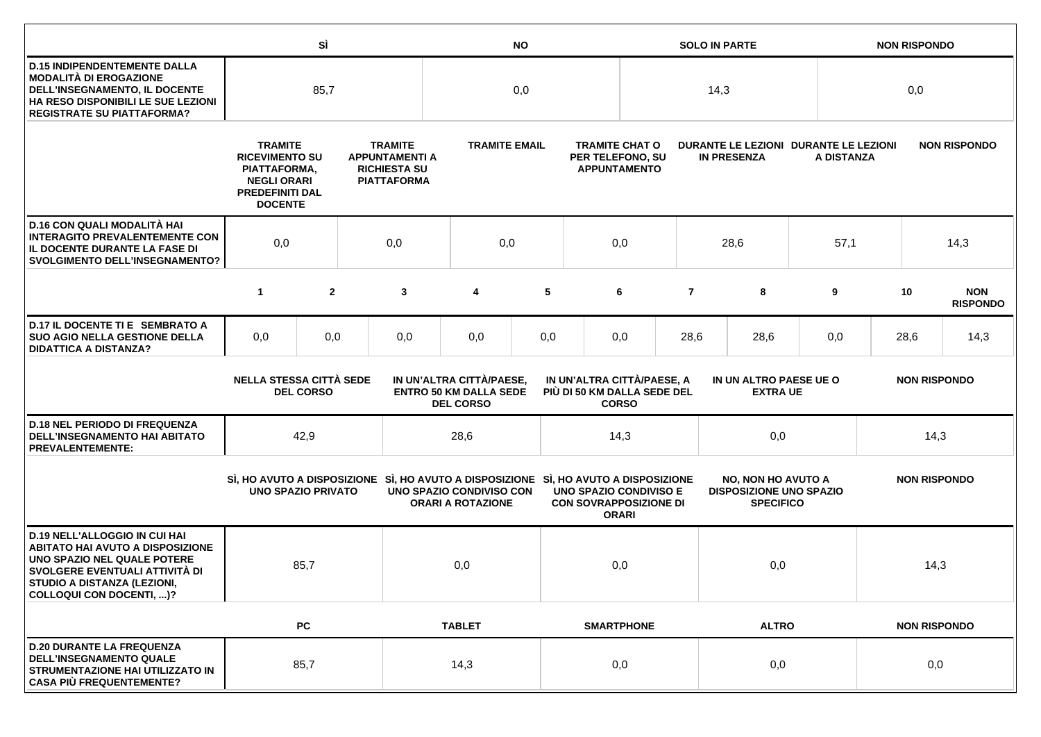|                                                                                                                                                                                                             |                                                                                                                           | SÌ                                                 |                                                                                      | <b>NO</b>                                                                                                       |                                                                                                                                            |     |                                                                  |                                           | <b>SOLO IN PARTE</b>                                        |                                                                                 | <b>NON RISPONDO</b> |      |      |                               |  |  |  |  |                     |  |
|-------------------------------------------------------------------------------------------------------------------------------------------------------------------------------------------------------------|---------------------------------------------------------------------------------------------------------------------------|----------------------------------------------------|--------------------------------------------------------------------------------------|-----------------------------------------------------------------------------------------------------------------|--------------------------------------------------------------------------------------------------------------------------------------------|-----|------------------------------------------------------------------|-------------------------------------------|-------------------------------------------------------------|---------------------------------------------------------------------------------|---------------------|------|------|-------------------------------|--|--|--|--|---------------------|--|
| <b>D.15 INDIPENDENTEMENTE DALLA</b><br><b>MODALITÀ DI EROGAZIONE</b><br>DELL'INSEGNAMENTO, IL DOCENTE<br>HA RESO DISPONIBILI LE SUE LEZIONI<br><b>REGISTRATE SU PIATTAFORMA?</b>                            | 85,7                                                                                                                      |                                                    |                                                                                      | 0,0                                                                                                             |                                                                                                                                            |     |                                                                  | 14,3                                      |                                                             |                                                                                 | 0,0                 |      |      |                               |  |  |  |  |                     |  |
|                                                                                                                                                                                                             | <b>TRAMITE</b><br><b>RICEVIMENTO SU</b><br>PIATTAFORMA,<br><b>NEGLI ORARI</b><br><b>PREDEFINITI DAL</b><br><b>DOCENTE</b> |                                                    | <b>TRAMITE</b><br><b>APPUNTAMENTI A</b><br><b>RICHIESTA SU</b><br><b>PIATTAFORMA</b> |                                                                                                                 | <b>TRAMITE EMAIL</b>                                                                                                                       |     | <b>TRAMITE CHAT O</b><br>PER TELEFONO, SU<br><b>APPUNTAMENTO</b> |                                           | DURANTE LE LEZIONI DURANTE LE LEZIONI<br><b>IN PRESENZA</b> |                                                                                 | A DISTANZA          |      |      | <b>NON RISPONDO</b>           |  |  |  |  |                     |  |
| D.16 CON QUALI MODALITÀ HAI<br><b>INTERAGITO PREVALENTEMENTE CON</b><br>IL DOCENTE DURANTE LA FASE DI<br><b>SVOLGIMENTO DELL'INSEGNAMENTO?</b>                                                              | 0,0                                                                                                                       |                                                    |                                                                                      | 0,0                                                                                                             | 0,0                                                                                                                                        |     |                                                                  | 0,0                                       |                                                             | 28,6                                                                            | 57,1                |      |      | 14,3                          |  |  |  |  |                     |  |
|                                                                                                                                                                                                             | $\mathbf{1}$                                                                                                              | $\overline{2}$                                     |                                                                                      | 3                                                                                                               | 4                                                                                                                                          | 5   |                                                                  | 6                                         | $\overline{7}$                                              | 8                                                                               | 9                   |      | 10   | <b>NON</b><br><b>RISPONDO</b> |  |  |  |  |                     |  |
| D.17 IL DOCENTE TI E SEMBRATO A<br><b>SUO AGIO NELLA GESTIONE DELLA</b><br><b>DIDATTICA A DISTANZA?</b>                                                                                                     | 0,0                                                                                                                       | 0,0                                                |                                                                                      | 0,0                                                                                                             | 0,0                                                                                                                                        | 0,0 |                                                                  | 0,0                                       | 28,6                                                        | 28,6                                                                            | 0,0                 |      | 28,6 | 14,3                          |  |  |  |  |                     |  |
|                                                                                                                                                                                                             |                                                                                                                           | <b>NELLA STESSA CITTÀ SEDE</b><br><b>DEL CORSO</b> |                                                                                      |                                                                                                                 | IN UN'ALTRA CITTÀ/PAESE,<br>IN UN'ALTRA CITTÀ/PAESE, A<br><b>ENTRO 50 KM DALLA SEDE</b><br>PIÙ DI 50 KM DALLA SEDE DEL<br><b>DEL CORSO</b> |     | <b>CORSO</b>                                                     | IN UN ALTRO PAESE UE O<br><b>EXTRA UE</b> |                                                             |                                                                                 | <b>NON RISPONDO</b> |      |      |                               |  |  |  |  |                     |  |
| <b>D.18 NEL PERIODO DI FREQUENZA</b><br><b>DELL'INSEGNAMENTO HAI ABITATO</b><br><b>PREVALENTEMENTE:</b>                                                                                                     |                                                                                                                           | 42,9                                               |                                                                                      |                                                                                                                 | 28,6                                                                                                                                       |     |                                                                  | 14,3                                      |                                                             |                                                                                 | 0,0                 |      | 14,3 |                               |  |  |  |  |                     |  |
|                                                                                                                                                                                                             | <b>UNO SPAZIO PRIVATO</b>                                                                                                 |                                                    |                                                                                      | SI, HO AVUTO A DISPOSIZIONE SI, HO AVUTO A DISPOSIZIONE SI, HO AVUTO A DISPOSIZIONE<br>UNO SPAZIO CONDIVISO CON | <b>ORARI A ROTAZIONE</b>                                                                                                                   |     | <b>UNO SPAZIO CONDIVISO E</b><br><b>CON SOVRAPPOSIZIONE DI</b>   | <b>ORARI</b>                              |                                                             | <b>NO, NON HO AVUTO A</b><br><b>DISPOSIZIONE UNO SPAZIO</b><br><b>SPECIFICO</b> |                     |      |      |                               |  |  |  |  | <b>NON RISPONDO</b> |  |
| <b>D.19 NELL'ALLOGGIO IN CUI HAI</b><br><b>ABITATO HAI AVUTO A DISPOSIZIONE</b><br>UNO SPAZIO NEL QUALE POTERE<br>SVOLGERE EVENTUALI ATTIVITÀ DI<br>STUDIO A DISTANZA (LEZIONI,<br>COLLOQUI CON DOCENTI, )? |                                                                                                                           | 85,7                                               |                                                                                      |                                                                                                                 | 0,0                                                                                                                                        |     |                                                                  | 0,0                                       |                                                             | 0,0                                                                             |                     | 14,3 |      |                               |  |  |  |  |                     |  |
|                                                                                                                                                                                                             |                                                                                                                           | <b>PC</b>                                          |                                                                                      |                                                                                                                 | <b>TABLET</b>                                                                                                                              |     | <b>SMARTPHONE</b>                                                | <b>ALTRO</b>                              |                                                             |                                                                                 | <b>NON RISPONDO</b> |      |      |                               |  |  |  |  |                     |  |
| <b>D.20 DURANTE LA FREQUENZA</b><br><b>DELL'INSEGNAMENTO QUALE</b><br>STRUMENTAZIONE HAI UTILIZZATO IN<br><b>CASA PIÙ FREQUENTEMENTE?</b>                                                                   |                                                                                                                           | 85,7                                               |                                                                                      |                                                                                                                 | 14,3                                                                                                                                       |     |                                                                  | 0,0                                       |                                                             | 0,0                                                                             |                     |      | 0,0  |                               |  |  |  |  |                     |  |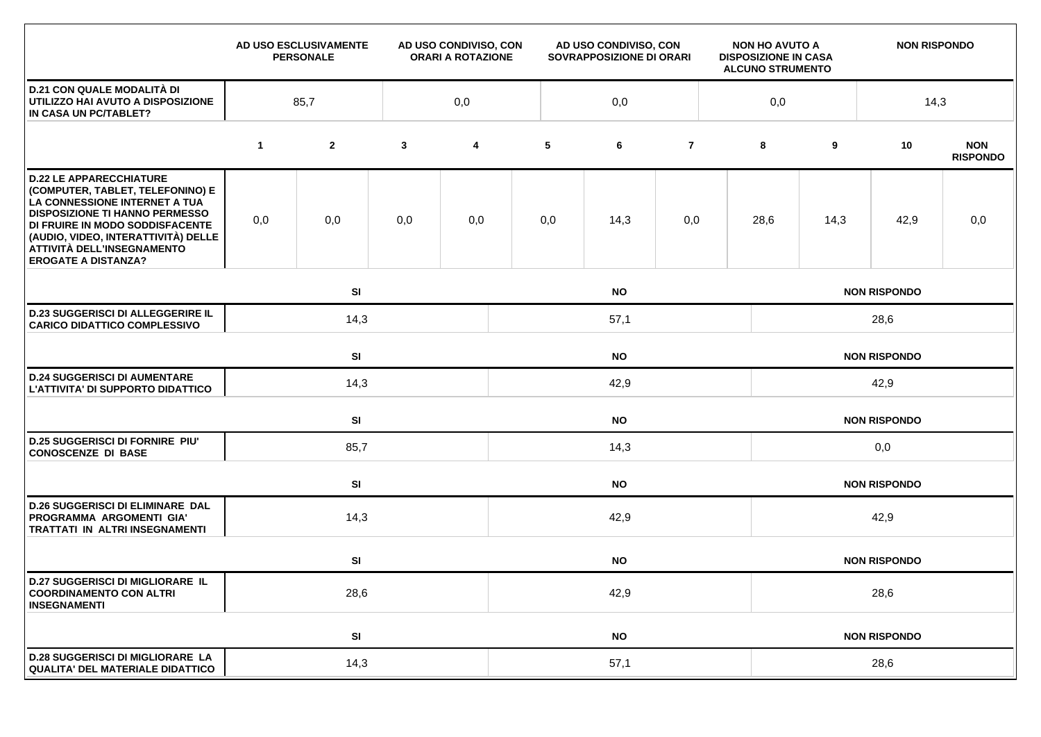|                                                                                                                                                                                                                                                                                    |             | AD USO ESCLUSIVAMENTE<br><b>PERSONALE</b> |              | AD USO CONDIVISO, CON<br><b>ORARI A ROTAZIONE</b> |           | AD USO CONDIVISO, CON<br>SOVRAPPOSIZIONE DI ORARI |                     |     | <b>NON HO AVUTO A</b><br><b>DISPOSIZIONE IN CASA</b><br><b>ALCUNO STRUMENTO</b> |                     | <b>NON RISPONDO</b> |                               |  |  |
|------------------------------------------------------------------------------------------------------------------------------------------------------------------------------------------------------------------------------------------------------------------------------------|-------------|-------------------------------------------|--------------|---------------------------------------------------|-----------|---------------------------------------------------|---------------------|-----|---------------------------------------------------------------------------------|---------------------|---------------------|-------------------------------|--|--|
| <b>D.21 CON QUALE MODALITÀ DI</b><br>UTILIZZO HAI AVUTO A DISPOSIZIONE<br>IN CASA UN PC/TABLET?                                                                                                                                                                                    | 85,7        |                                           |              | 0,0                                               |           | 0,0                                               |                     | 0,0 |                                                                                 |                     | 14,3                |                               |  |  |
|                                                                                                                                                                                                                                                                                    | $\mathbf 1$ | $\mathbf{2}$                              | $\mathbf{3}$ | 4                                                 | 5         | 6                                                 | $\overline{7}$      |     | 8                                                                               | 9                   | 10                  | <b>NON</b><br><b>RISPONDO</b> |  |  |
| <b>D.22 LE APPARECCHIATURE</b><br>(COMPUTER, TABLET, TELEFONINO) E<br>LA CONNESSIONE INTERNET A TUA<br><b>DISPOSIZIONE TI HANNO PERMESSO</b><br>DI FRUIRE IN MODO SODDISFACENTE<br>(AUDIO, VIDEO, INTERATTIVITÀ) DELLE<br>ATTIVITÀ DELL'INSEGNAMENTO<br><b>EROGATE A DISTANZA?</b> | 0,0         | 0,0                                       | 0,0          | 0,0                                               | 0,0       | 14,3                                              | 0,0                 |     | 28,6                                                                            | 14,3                | 42,9                | 0,0                           |  |  |
|                                                                                                                                                                                                                                                                                    |             | SI                                        | <b>NO</b>    | <b>NON RISPONDO</b>                               |           |                                                   |                     |     |                                                                                 |                     |                     |                               |  |  |
| <b>D.23 SUGGERISCI DI ALLEGGERIRE IL</b><br><b>CARICO DIDATTICO COMPLESSIVO</b>                                                                                                                                                                                                    |             | 14,3                                      |              |                                                   | 57,1      |                                                   |                     |     |                                                                                 | 28,6                |                     |                               |  |  |
|                                                                                                                                                                                                                                                                                    |             | SI                                        |              | <b>NO</b>                                         |           |                                                   | <b>NON RISPONDO</b> |     |                                                                                 |                     |                     |                               |  |  |
| <b>D.24 SUGGERISCI DI AUMENTARE</b><br>L'ATTIVITA' DI SUPPORTO DIDATTICO                                                                                                                                                                                                           |             | 14,3                                      |              |                                                   | 42,9      |                                                   |                     |     |                                                                                 | 42,9                |                     |                               |  |  |
|                                                                                                                                                                                                                                                                                    |             | <b>SI</b>                                 |              |                                                   |           |                                                   |                     |     |                                                                                 |                     | <b>NON RISPONDO</b> |                               |  |  |
| <b>D.25 SUGGERISCI DI FORNIRE PIU'</b><br><b>CONOSCENZE DI BASE</b>                                                                                                                                                                                                                |             | 85,7                                      |              |                                                   | 14,3      |                                                   |                     |     |                                                                                 | 0,0                 |                     |                               |  |  |
|                                                                                                                                                                                                                                                                                    |             | SI                                        |              |                                                   |           | <b>NO</b>                                         |                     |     | <b>NON RISPONDO</b>                                                             |                     |                     |                               |  |  |
| <b>D.26 SUGGERISCI DI ELIMINARE DAL</b><br>PROGRAMMA ARGOMENTI GIA'<br>TRATTATI IN ALTRI INSEGNAMENTI                                                                                                                                                                              |             | 14,3                                      |              |                                                   | 42,9      |                                                   |                     |     |                                                                                 | 42,9                |                     |                               |  |  |
|                                                                                                                                                                                                                                                                                    |             | SI<br><b>NO</b>                           |              |                                                   |           |                                                   |                     |     | <b>NON RISPONDO</b>                                                             |                     |                     |                               |  |  |
| <b>D.27 SUGGERISCI DI MIGLIORARE IL</b><br><b>COORDINAMENTO CON ALTRI</b><br><b>INSEGNAMENTI</b>                                                                                                                                                                                   | 28,6        |                                           |              |                                                   | 42,9      |                                                   |                     |     |                                                                                 | 28,6                |                     |                               |  |  |
|                                                                                                                                                                                                                                                                                    |             | SI                                        |              |                                                   | <b>NO</b> |                                                   |                     |     |                                                                                 | <b>NON RISPONDO</b> |                     |                               |  |  |
| <b>D.28 SUGGERISCI DI MIGLIORARE LA</b><br><b>QUALITA' DEL MATERIALE DIDATTICO</b>                                                                                                                                                                                                 |             | 14,3                                      |              |                                                   | 57,1      |                                                   |                     |     |                                                                                 | 28,6                |                     |                               |  |  |